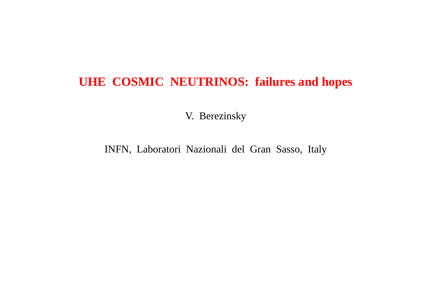# **UHE COSMIC NEUTRINOS: failures and hopes**

V. Berezinsky

INFN, Laboratori Nazionali del Gran Sasso, Italy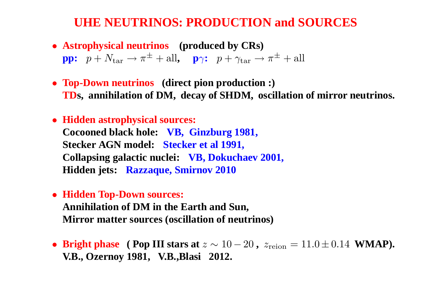# **UHE NEUTRINOS: PRODUCTION and SOURCES**

- **Astrophysical neutrinos (produced by CRs) pp:**  $p + N_{\text{tar}} \rightarrow \pi^{\pm} + \text{all}$ , **p** $\gamma$ :  $p + \gamma_{\text{tar}} \rightarrow \pi^{\pm} + \text{all}$
- **Top-Down neutrinos (direct pion production :) TDs, annihilation of DM, decay of SHDM, oscillation of mirror neutrinos.**
- **Hidden astrophysical sources: Cocooned black hole: VB, Ginzburg 1981, Stecker AGN model: Stecker et al 1991, Collapsing galactic nuclei: VB, Dokuchaev 2001, Hidden jets: Razzaque, Smirnov 2010**
- **Hidden Top-Down sources:**

**Annihilation of DM in the Earth and Sun, Mirror matter sources (oscillation of neutrinos)**

• **Bright phase ( Pop III stars at** z ∼ 10 − 20 **,** zreion = 11.0 ± 0.14 **WMAP). V.B., Ozernoy 1981, V.B.,Blasi 2012.**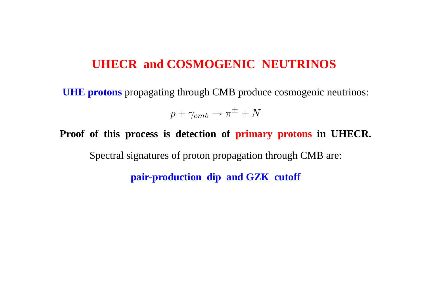## **UHECR and COSMOGENIC NEUTRINOS**

**UHE protons** propagating through CMB produce cosmogenic neutrinos:

$$
p + \gamma_{cmb} \to \pi^{\pm} + N
$$

**Proof of this process is detection of primary protons in UHECR.**

Spectral signatures of proton propagation through CMB are:

**pair-production dip and GZK cutoff**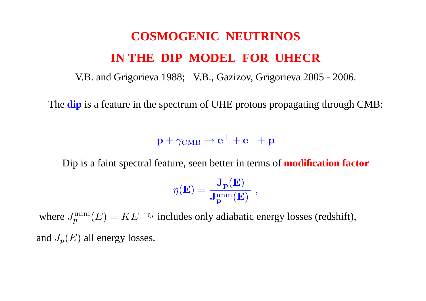# **COSMOGENIC NEUTRINOS IN THE DIP MODEL FOR UHECR**

V.B. and Grigorieva 1988; V.B., Gazizov, Grigorieva 2005 - 2006.

The **dip** is a feature in the spectrum of UHE protons propagating through CMB:

 $\mathbf{p}+\gamma_{\rm CMB} \rightarrow \mathbf{e}^+ + \mathbf{e}^- + \mathbf{p}$ 

Dip is a faint spectral feature, seen better in terms of **modification factor**

$$
\eta(\mathbf{E}) = \frac{\mathbf{J_p}(\mathbf{E})}{\mathbf{J_p^{unm}}(\mathbf{E})} \ ,
$$

where  $J_p^{\text{unm}}$  $p_{p}^{\text{num}}(E) = KE^{-\gamma_g}$  includes only adiabatic energy losses (redshift), and  $J_p(E)$  all energy losses.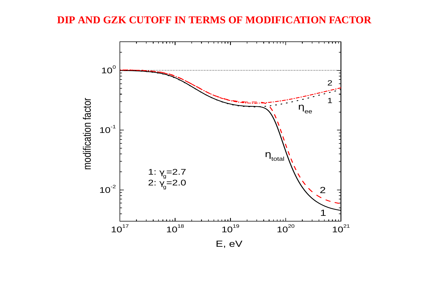#### DIP AND GZK CUTOFF IN TERMS OF MODIFICATION FACTOR

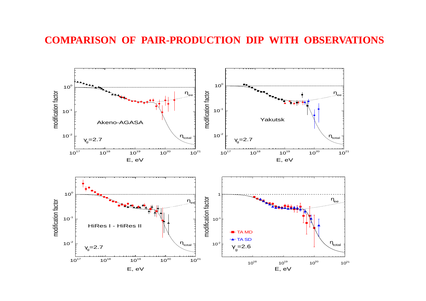#### **COMPARISON OF PAIR-PRODUCTION DIP WITH OBSERVATIONS**

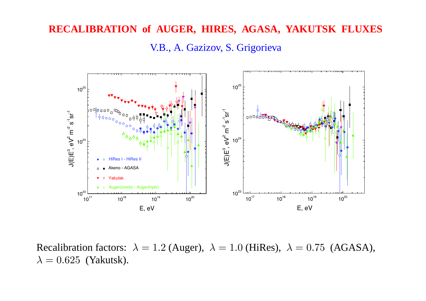#### **RECALIBRATION of AUGER, HIRES, AGASA, YAKUTSK FLUXES**

V.B., A. Gazizov, S. Grigorieva



Recalibration factors:  $\lambda = 1.2$  (Auger),  $\lambda = 1.0$  (HiRes),  $\lambda = 0.75$  (AGASA),  $\lambda = 0.625$  (Yakutsk).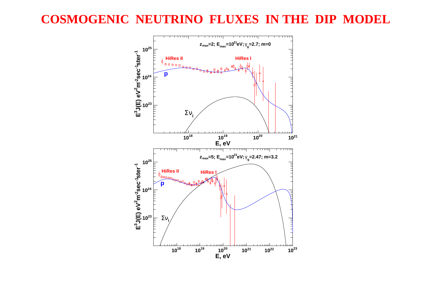# **COSMOGENIC NEUTRINO FLUXES IN THE DIP MODEL**

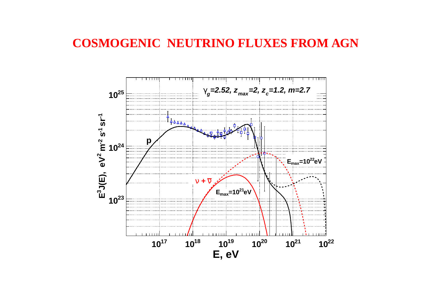# **COSMOGENIC NEUTRINO FLUXES FROM AGN**

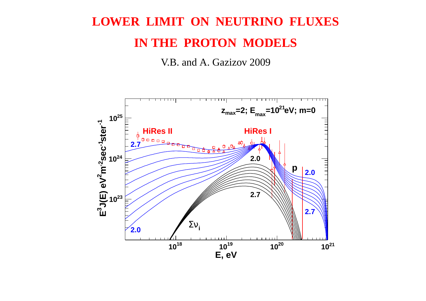# **LOWER LIMIT ON NEUTRINO FLUXES** IN THE PROTON MODELS

V.B. and A. Gazizov 2009

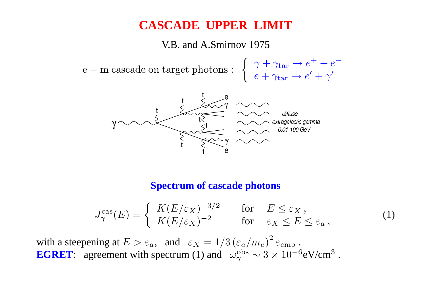# **CASCADE UPPER LIMIT**

V.B. and A.Smirnov 1975

 $e - m$  cascade on target photons :  $\left\{ \right.$  $\gamma + \gamma_{\text{tar}} \rightarrow e^+ + e^$  $e + \gamma_{\text{tar}} \rightarrow e' + \gamma'$ 



#### **Spectrum of cascade photons**

$$
J^{\text{cas}}_{\gamma}(E) = \begin{cases} K(E/\varepsilon_X)^{-3/2} & \text{for} \quad E \le \varepsilon_X, \\ K(E/\varepsilon_X)^{-2} & \text{for} \quad \varepsilon_X \le E \le \varepsilon_a, \end{cases}
$$

(1)

with a steepening at  $E > \varepsilon_a$ , and  $\varepsilon_X = 1/3 (\varepsilon_a/m_e)^2 \varepsilon_{\rm cmb}$ . **EGRET:** agreement with spectrum (1) and  $\omega_{\gamma}^{\text{obs}}$  $_{\gamma}^{\mathrm{obs}} \sim 3 \times 10^{-6} \mathrm{eV/cm^3}$  .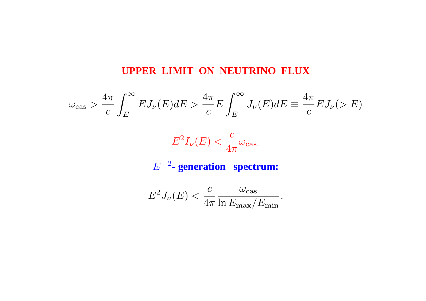#### **UPPER LIMIT ON NEUTRINO FLUX**

$$
\omega_{\text{cas}} > \frac{4\pi}{c} \int_{E}^{\infty} E J_{\nu}(E) dE > \frac{4\pi}{c} E \int_{E}^{\infty} J_{\nu}(E) dE \equiv \frac{4\pi}{c} E J_{\nu}(>E)
$$

$$
E^2 I_{\nu}(E) < \frac{c}{4\pi} \omega_{\text{cas.}}
$$

### E<sup>−</sup><sup>2</sup> **- generation spectrum:**

$$
E^2 J_{\nu}(E) < \frac{c}{4\pi} \frac{\omega_{\text{cas}}}{\ln E_{\text{max}}/E_{\text{min}}}.
$$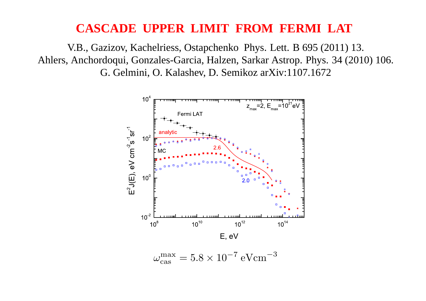## **CASCADE UPPER LIMIT FROM FERMI LAT**

V.B., Gazizov, Kachelriess, Ostapchenko Phys. Lett. B 695 (2011) 13. Ahlers, Anchordoqui, Gonzales-Garcia, Halzen, Sarkar Astrop. Phys. 34 (2010) 106. G. Gelmini, O. Kalashev, D. Semikoz arXiv:1107.1672

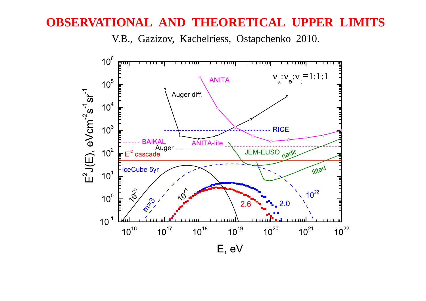#### **OBSERVATIONAL AND THEORETICAL UPPER LIMITS**

V.B., Gazizov, Kachelriess, Ostapchenko 2010.

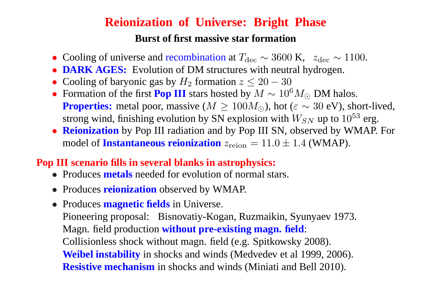# **Reionization of Universe: Bright Phase**

#### **Burst of first massive star formation**

- Cooling of universe and recombination at  $T_{\text{dec}} \sim 3600 \text{ K}$ ,  $z_{\text{dec}} \sim 1100$ .
- **DARK AGES:** Evolution of DM structures with neutral hydrogen.
- Cooling of baryonic gas by  $H_2$  formation  $z \leq 20 30$
- Formation of the first **Pop III** stars hosted by  $M \sim 10^6 M_{\odot}$  DM halos. **Properties:** metal poor, massive ( $M \ge 100 M_{\odot}$ ), hot ( $\varepsilon \sim 30$  eV), short-lived, strong wind, finishing evolution by SN explosion with  $W_{SN}$  up to  $10^{53}$  erg.
- **Reionization** by Pop III radiation and by Pop III SN, observed by WMAP. For model of **Instantaneous reionization**  $z_{\text{reion}} = 11.0 \pm 1.4$  (WMAP).

# **Pop III scenario fills in several blanks in astrophysics:**

- Produces **metals** needed for evolution of normal stars.
- Produces **reionization** observed by WMAP.
- Produces **magnetic fields** in Universe. Pioneering proposal: Bisnovatiy-Kogan, Ruzmaikin, Syunyaev 1973. Magn. field production **without pre-existing magn. field**: Collisionless shock without magn. field (e.g. Spitkowsky 2008). **Weibel instability** in shocks and winds (Medvedev et al 1999, 2006). **Resistive mechanism** in shocks and winds (Miniati and Bell 2010).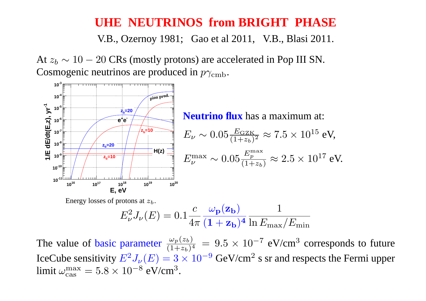#### **UHE NEUTRINOS from BRIGHT PHASE**

V.B., Ozernoy 1981; Gao et al 2011, V.B., Blasi 2011.

At  $z_b \sim 10 - 20$  CRs (mostly protons) are accelerated in Pop III SN. Cosmogenic neutrinos are produced in  $p\gamma_{\rm{cmb}}$ .



The value of basic parameter  $\frac{\omega_p(z_b)}{(1+z_b)^4} = 9.5 \times 10^{-7}$  eV/cm<sup>3</sup> corresponds to future IceCube sensitivity  $E^2 J_\nu(E) = 3 \times 10^{-9}$  GeV/cm<sup>2</sup> s sr and respects the Fermi upper limit  $\omega_{\rm cas}^{\rm max}=5.8\times 10^{-8}$  eV/cm $^3.$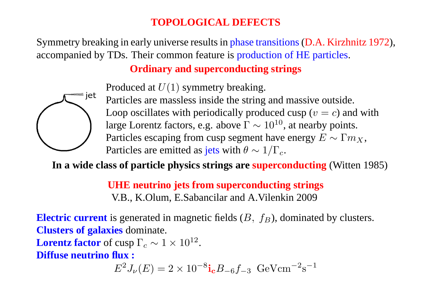#### **TOPOLOGICAL DEFECTS**

Symmetry breaking in early universe results in phase transitions(D.A. Kirzhnitz 1972), accompanied by TDs. Their common feature is production of HE particles.

# **Ordinary and superconducting strings**



Produced at  $U(1)$  symmetry breaking.

Particles are massless inside the string and massive outside. Loop oscillates with periodically produced cusp ( $v = c$ ) and with large Lorentz factors, e.g. above  $\Gamma \sim 10^{10}$ , at nearby points. Particles escaping from cusp segment have energy  $E \sim \Gamma m_X$ , Particles are emitted as jets with  $\theta \sim 1/\Gamma_c$ .

**In a wide class of particle physics strings are superconducting** (Witten 1985)

**UHE neutrino jets from superconducting strings** V.B., K.Olum, E.Sabancilar and A.Vilenkin 2009

**Electric current** is generated in magnetic fields  $(B, f_B)$ , dominated by clusters. **Clusters of galaxies** dominate.

**Lorentz factor** of cusp  $\Gamma_c \sim 1 \times 10^{12}$ .

**Diffuse neutrino flux :**

$$
E^2 J_{\nu}(E) = 2 \times 10^{-8} \mathbf{i}_{\mathbf{c}} B_{-6} f_{-3} \text{ GeV cm}^{-2} \mathbf{s}^{-1}
$$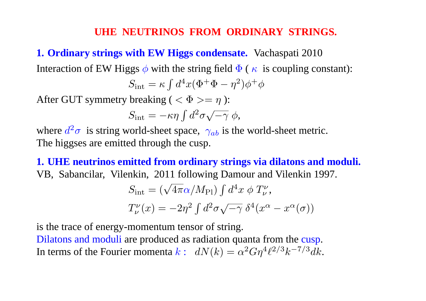#### **UHE NEUTRINOS FROM ORDINARY STRINGS.**

#### **1. Ordinary strings with EW Higgs condensate.** Vachaspati 2010

Interaction of EW Higgs  $\phi$  with the string field  $\Phi$  ( $\kappa$  is coupling constant):  $\cdot$ 

$$
S_{\rm int} = \kappa \int d^4x (\Phi^+ \Phi - \eta^2) \phi^+ \phi
$$

After GUT symmetry breaking ( $\langle \Phi \rangle = \eta$ ):

$$
S_{\rm int} = -\kappa \eta \int d^2 \sigma \sqrt{-\gamma} \phi,
$$

where  $d^2\sigma$  is string world-sheet space,  $\gamma_{ab}$  is the world-sheet metric. The higgses are emitted through the cusp.

**1. UHE neutrinos emitted from ordinary strings via dilatons and moduli.** VB, Sabancilar, Vilenkin, 2011 following Damour and Vilenkin 1997.

$$
S_{\rm int} = (\sqrt{4\pi}\alpha/M_{\rm Pl}) \int d^4x \phi T_{\nu}^{\nu},
$$
  

$$
T_{\nu}^{\nu}(x) = -2\eta^2 \int d^2\sigma \sqrt{-\gamma} \ \delta^4(x^{\alpha} - x^{\alpha}(\sigma))
$$

is the trace of energy-momentum tensor of string.

Dilatons and moduli are produced as radiation quanta from the cusp. In terms of the Fourier momenta  $k: dN(k) = \alpha^2 G \eta^4 \ell^{2/3} k^{-7/3} dk$ .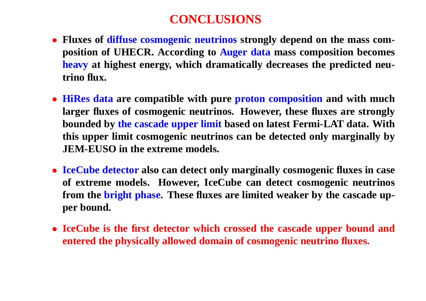# **CONCLUSIONS**

- **Fluxes of diffuse cosmogenic neutrinos strongly depend on the mass composition of UHECR. According to Auger data mass composition becomes heavy at highest energy, which dramatically decreases the predicted neutrino flux.**
- **HiRes data are compatible with pure proton composition and with much larger fluxes of cosmogenic neutrinos. However, these fluxes are strongly bounded by the cascade upper limit based on latest Fermi-LAT data. With this upper limit cosmogenic neutrinos can be detected only marginally by JEM-EUSO in the extreme models.**
- **IceCube detector also can detect only marginally cosmogenic fluxes in case of extreme models. However, IceCube can detect cosmogenic neutrinos from the bright phase. These fluxes are limited weaker by the cascade upper bound.**
- **IceCube is the first detector which crossed the cascade upper bound and entered the physically allowed domain of cosmogenic neutrino fluxes.**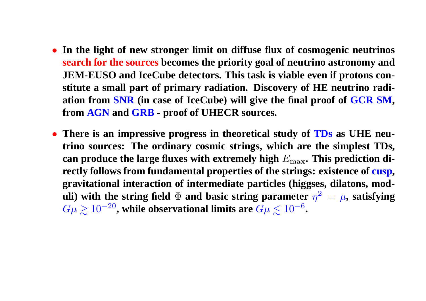- **In the light of new stronger limit on diffuse flux of cosmogenic neutrinos search for the sources becomes the priority goal of neutrino astronomy and JEM-EUSO and IceCube detectors. This task is viable even if protons constitute a small part of primary radiation. Discovery of HE neutrino radiation from SNR (in case of IceCube) will give the final proof of GCR SM, from AGN and GRB - proof of UHECR sources.**
- **There is an impressive progress in theoretical study of TDs as UHE neutrino sources: The ordinary cosmic strings, which are the simplest TDs, can produce the large fluxes with extremely high** Emax**. This prediction directly follows from fundamental properties of the strings: existence of cusp, gravitational interaction of intermediate particles (higgses, dilatons, mod**uli) with the string field  $\Phi$  and basic string parameter  $\eta^2 = \mu$ , satisfying  $G\mu \geq$  $\gtrsim 10^{-20}$ , while observational limits are  $G\mu$  ≲ 10<sup>−</sup><sup>6</sup> **.**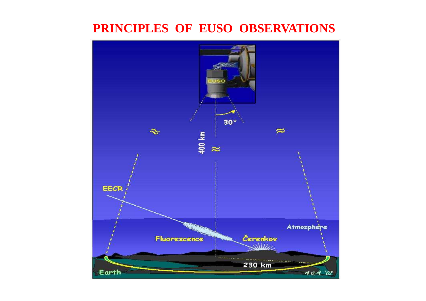# **PRINCIPLES OF EUSO OBSERVATIONS**

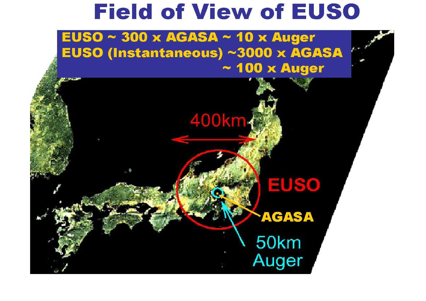# **Field of View of EUSO**

 $EUSO \sim 300 \times AGASA \sim 10 \times Auger$ EUSO (Instantaneous) ~3000 x AGASA  $\sim$  100 x Auger

400km **EUSO AGASA** 50km Auger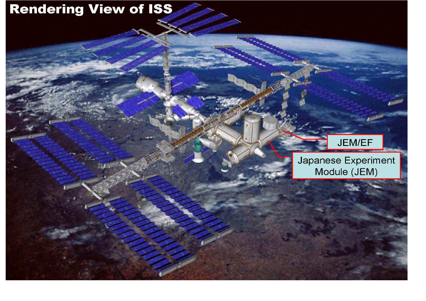# **Rendering View of ISS**



Japanese Experiment Module (JEM)